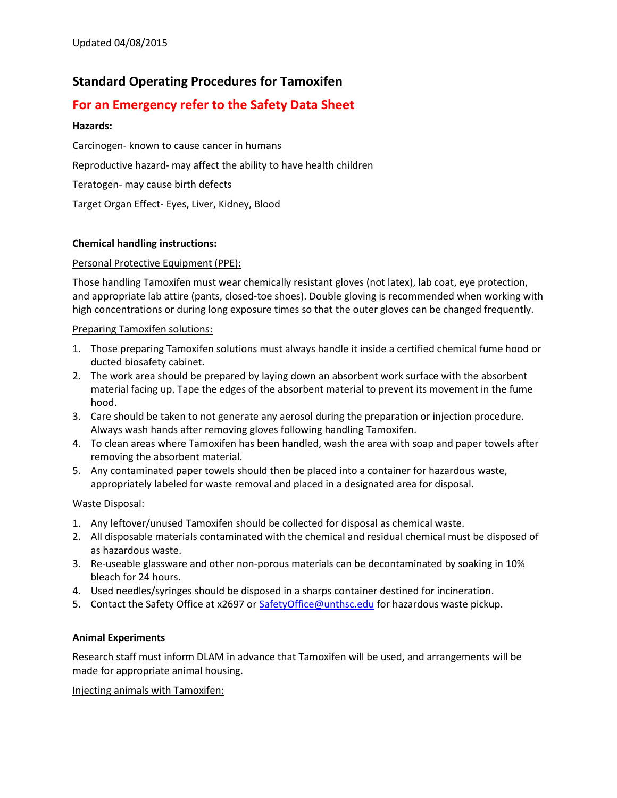# **Standard Operating Procedures for Tamoxifen**

## **For an Emergency refer to the Safety Data Sheet**

## **Hazards:**

Carcinogen- known to cause cancer in humans Reproductive hazard- may affect the ability to have health children

Teratogen- may cause birth defects

Target Organ Effect- Eyes, Liver, Kidney, Blood

## **Chemical handling instructions:**

## Personal Protective Equipment (PPE):

Those handling Tamoxifen must wear chemically resistant gloves (not latex), lab coat, eye protection, and appropriate lab attire (pants, closed-toe shoes). Double gloving is recommended when working with high concentrations or during long exposure times so that the outer gloves can be changed frequently.

#### Preparing Tamoxifen solutions:

- 1. Those preparing Tamoxifen solutions must always handle it inside a certified chemical fume hood or ducted biosafety cabinet.
- 2. The work area should be prepared by laying down an absorbent work surface with the absorbent material facing up. Tape the edges of the absorbent material to prevent its movement in the fume hood.
- 3. Care should be taken to not generate any aerosol during the preparation or injection procedure. Always wash hands after removing gloves following handling Tamoxifen.
- 4. To clean areas where Tamoxifen has been handled, wash the area with soap and paper towels after removing the absorbent material.
- 5. Any contaminated paper towels should then be placed into a container for hazardous waste, appropriately labeled for waste removal and placed in a designated area for disposal.

## Waste Disposal:

- 1. Any leftover/unused Tamoxifen should be collected for disposal as chemical waste.
- 2. All disposable materials contaminated with the chemical and residual chemical must be disposed of as hazardous waste.
- 3. Re-useable glassware and other non-porous materials can be decontaminated by soaking in 10% bleach for 24 hours.
- 4. Used needles/syringes should be disposed in a sharps container destined for incineration.
- 5. Contact the Safety Office at x2697 or [SafetyOffice@unthsc.edu](mailto:SafetyOffice@unthsc.edu) for hazardous waste pickup.

## **Animal Experiments**

Research staff must inform DLAM in advance that Tamoxifen will be used, and arrangements will be made for appropriate animal housing.

## Injecting animals with Tamoxifen: